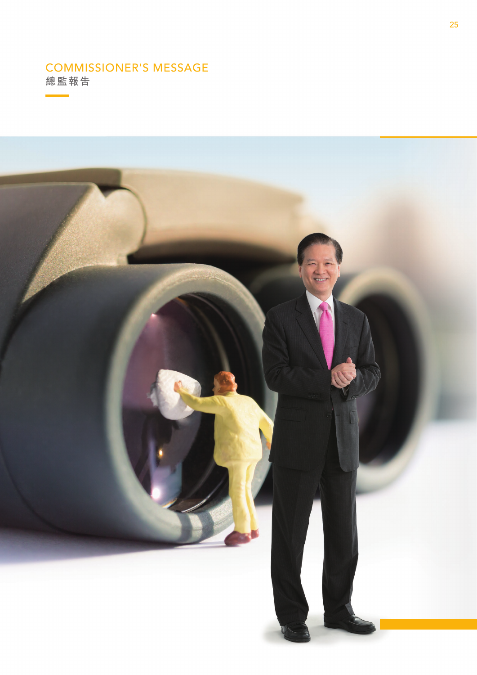# COMMISSIONER'S MESSAGE

**總監報告**

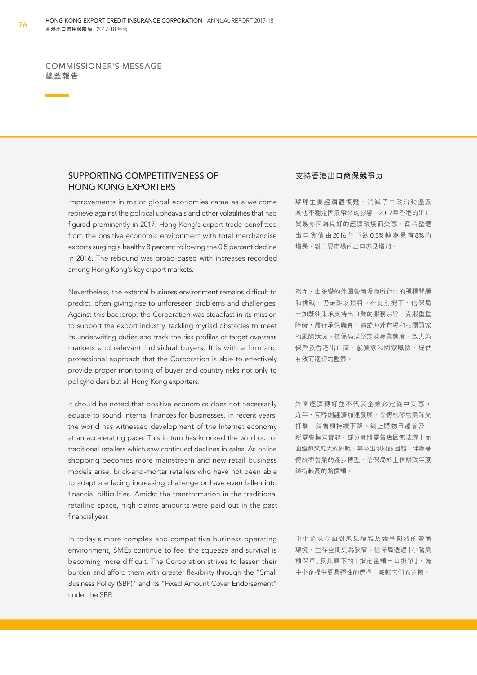COMMISSIONER'S MESSAGE **總監報告**

# SUPPORTING COMPETITIVENESS OF HONG KONG EXPORTERS

Improvements in major global economies came as a welcome reprieve against the political upheavals and other volatilities that had figured prominently in 2017. Hong Kong's export trade benefitted from the positive economic environment with total merchandise exports surging a healthy 8 percent following the 0.5 percent decline in 2016. The rebound was broad-based with increases recorded among Hong Kong's key export markets.

Nevertheless, the external business environment remains difficult to predict, often giving rise to unforeseen problems and challenges. Against this backdrop, the Corporation was steadfast in its mission to support the export industry, tackling myriad obstacles to meet its underwriting duties and track the risk profles of target overseas markets and relevant individual buyers. It is with a firm and professional approach that the Corporation is able to effectively provide proper monitoring of buyer and country risks not only to policyholders but all Hong Kong exporters.

It should be noted that positive economics does not necessarily equate to sound internal finances for businesses. In recent years, the world has witnessed development of the Internet economy at an accelerating pace. This in turn has knocked the wind out of traditional retailers which saw continued declines in sales. As online shopping becomes more mainstream and new retail business models arise, brick-and-mortar retailers who have not been able to adapt are facing increasing challenge or have even fallen into financial difficulties. Amidst the transformation in the traditional retailing space, high claims amounts were paid out in the past financial year.

In today's more complex and competitive business operating environment, SMEs continue to feel the squeeze and survival is becoming more difficult. The Corporation strives to lessen their burden and afford them with greater fexibility through the "Small Business Policy (SBP)" and its "Fixed Amount Cover Endorsement" under the SBP.

#### **支持香港出口商保競爭力**

環球主要經濟體復甦,消減了由政治動盪及 其他不穩定因素帶來的影響, 2017年香港的出口 貿易亦因為良好的經濟環境而受惠,商品整體 出口貨值由 2016 年下跌 0.5% 轉為見有 8% 的 增長,對主要市場的出口亦見增加。

然而,由多變的外圍營商環境所衍生的種種問題 和挑戰,仍是難以預料。在此前提下,信保局 一如既往秉承支持出口業的服務宗旨,克服重重 障礙,履行承保職責、追蹤海外市場和相關買家 的風險狀況。信保局以堅定及專業態度,致力為 保戶及香港出口商,就買家和國家風險,提供 有效而適切的監察。

外圍經濟轉好並不代表企業必定從中受惠。 近年,互聯網經濟加速發展,令傳統零售業深受 打擊,銷售額持續下降。網上購物日趨普及, 新零售模式冒起,部分實體零售店因無法趕上而 面臨愈來愈大的挑戰,甚至出現財政困難。伴隨著 傳統零售業的逐步轉型,信保局於上個財政年度 錄得較高的賠償額。

中小企現今面對愈見複雜及競爭劇烈的營商 環境,生存空間更為狹窄。信保局透過「小營業 額保單」及其轄下的「指定金額出口批單」,為 中小企提供更具彈性的選擇,減輕它們的負擔。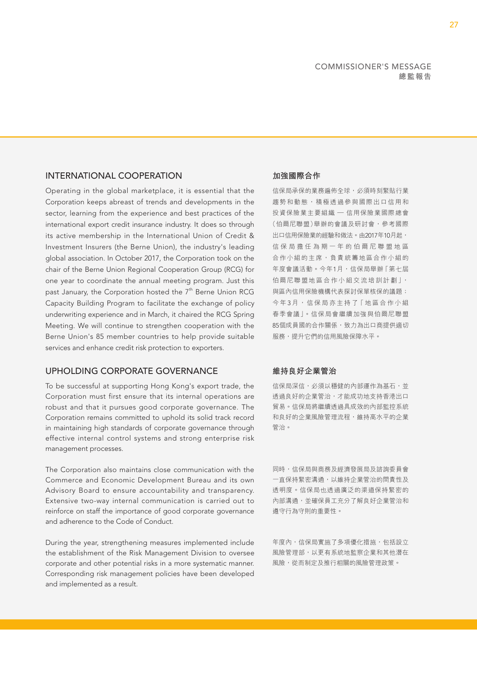# INTERNATIONAL COOPERATION

Operating in the global marketplace, it is essential that the Corporation keeps abreast of trends and developments in the sector, learning from the experience and best practices of the international export credit insurance industry. It does so through its active membership in the International Union of Credit & Investment Insurers (the Berne Union), the industry's leading global association. In October 2017, the Corporation took on the chair of the Berne Union Regional Cooperation Group (RCG) for one year to coordinate the annual meeting program. Just this past January, the Corporation hosted the 7<sup>th</sup> Berne Union RCG Capacity Building Program to facilitate the exchange of policy underwriting experience and in March, it chaired the RCG Spring Meeting. We will continue to strengthen cooperation with the Berne Union's 85 member countries to help provide suitable services and enhance credit risk protection to exporters.

## UPHOLDING CORPORATE GOVERNANCE

To be successful at supporting Hong Kong's export trade, the Corporation must first ensure that its internal operations are robust and that it pursues good corporate governance. The Corporation remains committed to uphold its solid track record in maintaining high standards of corporate governance through effective internal control systems and strong enterprise risk management processes.

The Corporation also maintains close communication with the Commerce and Economic Development Bureau and its own Advisory Board to ensure accountability and transparency. Extensive two-way internal communication is carried out to reinforce on staff the importance of good corporate governance and adherence to the Code of Conduct.

During the year, strengthening measures implemented include the establishment of the Risk Management Division to oversee corporate and other potential risks in a more systematic manner. Corresponding risk management policies have been developed and implemented as a result.

# **加強國際合作**

 投資保險業主要組織 — 信用保險業國際總會 信保局承保的業務遍佈全球,必須時刻緊貼行業 趨勢和動態,積極透過參與國際出口信用和 (伯爾尼聯盟)舉辦的會議及研討會,參考國際 出口信用保險業的經驗和做法。由2017年10月起, 信保局擔任為期一年的伯爾尼聯盟地區 合作小組的主席,負責統籌地區合作小組的 年度會議活動。今年1月,信保局舉辦「第七屆 伯爾尼聯盟地區合作小組交流培訓計劃」, 與區內信用保險機構代表探討保單核保的議題; 今年3月,信保局亦主持了「地區合作小組 春季會議」。信保局會繼續加強與伯爾尼聯盟 85個成員國的合作關係,致力為出口商提供適切 服務,提升它們的信用風險保障水平。

#### **維持良好企業管治**

信保局深信,必須以穩健的內部運作為基石,並 透過良好的企業管治,才能成功地支持香港出口 貿易。信保局將繼續透過具成效的內部監控系統 和良好的企業風險管理流程,維持高水平的企業 管治。

同時,信保局與商務及經濟發展局及諮詢委員會 一直保持緊密溝通,以維持企業管治的問責性及 透明度。信保局也透過廣泛的渠道保持緊密的 內部溝通,並確保員工充分了解良好企業管治和 遵守行為守則的重要性。

年度內,信保局實施了多項優化措施,包括設立 風險管理部,以更有系統地監察企業和其他潛在 風險,從而制定及推行相關的風險管理政策。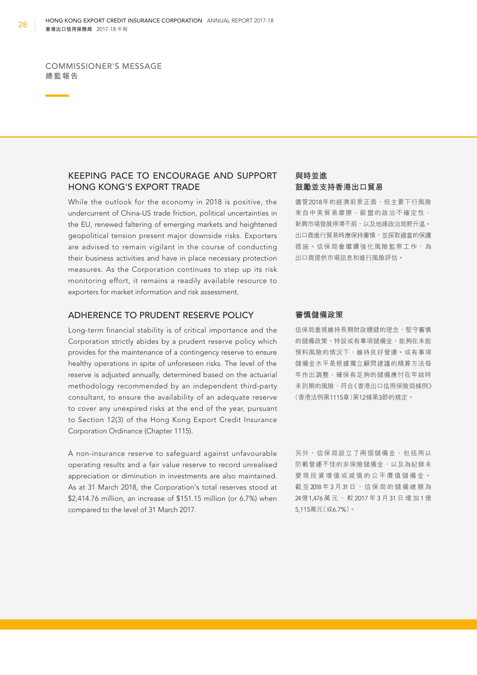COMMISSIONER'S MESSAGE **總監報告**

# KEEPING PACE TO ENCOURAGE AND SUPPORT HONG KONG'S EXPORT TRADE

While the outlook for the economy in 2018 is positive, the undercurrent of China-US trade friction, political uncertainties in the EU, renewed faltering of emerging markets and heightened geopolitical tension present major downside risks. Exporters are advised to remain vigilant in the course of conducting their business activities and have in place necessary protection measures. As the Corporation continues to step up its risk monitoring effort, it remains a readily available resource to exporters for market information and risk assessment.

# ADHERENCE TO PRUDENT RESERVE POLICY

Long-term financial stability is of critical importance and the Corporation strictly abides by a prudent reserve policy which provides for the maintenance of a contingency reserve to ensure healthy operations in spite of unforeseen risks. The level of the reserve is adjusted annually, determined based on the actuarial methodology recommended by an independent third-party consultant, to ensure the availability of an adequate reserve to cover any unexpired risks at the end of the year, pursuant to Section 12(3) of the Hong Kong Export Credit Insurance Corporation Ordinance (Chapter 1115).

A non-insurance reserve to safeguard against unfavourable operating results and a fair value reserve to record unrealised appreciation or diminution in investments are also maintained. As at 31 March 2018, the Corporation's total reserves stood at \$2,414.76 million, an increase of \$151.15 million (or 6.7%) when compared to the level of 31 March 2017.

## **與時並進 鼓勵並支持香港出口貿易**

儘管2018年的經濟前景正面,但主要下行風險 來自中美貿易摩擦、歐盟的政治不確定性、 新興市場發展停滯不前,以及地緣政治局勢升溫。 出口商進行貿易時應保持審慎,並採取適當的保護 措施。信保局會繼續強化風險監察工作,為 出口商提供市場訊息和進行風險評估。

#### **審慎儲備政策**

信保局重視維持長期財政穩健的理念,堅守審慎 的儲備政策,特設或有事項儲備金,能夠在未能 預料風險的情況下,維持良好營運。或有事項 儲備金水平是根據獨立顧問建議的精算方法每 年作出調整,確保有足夠的儲備應付在年結時 未到期的風險,符合《香港出口信用保險局條例》 (香港法例第1115章)第12條第3節的規定。

另外,信保局設立了兩個儲備金,包括用以 防範營運不佳的非保險儲備金,以及為紀錄未 變現投資增值或減值的公平價值儲備金。 截至2018年3月31日,信保局的儲備總額為 24億1,476萬元,較 2017年3月31日增加1億 5,115萬元(或6.7%)。